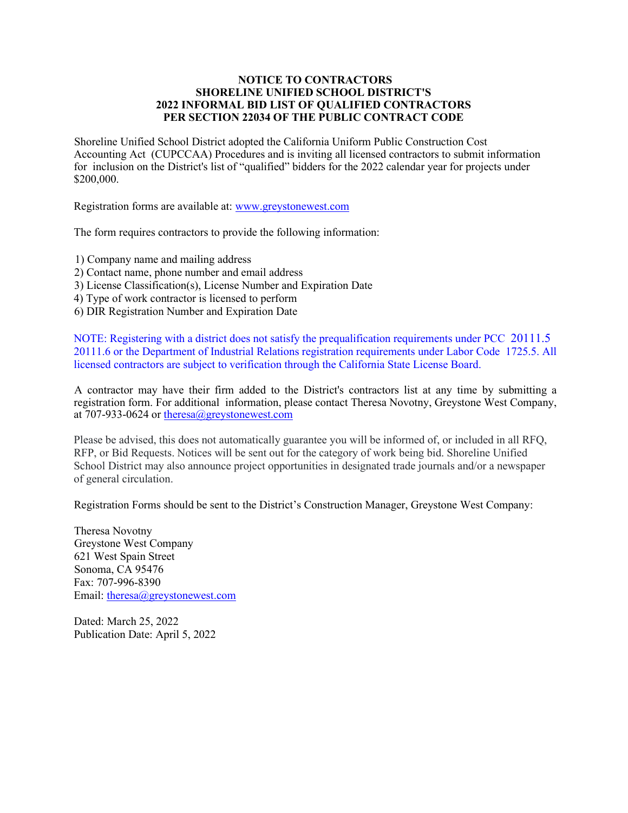## **NOTICE TO CONTRACTORS SHORELINE UNIFIED SCHOOL DISTRICT'S 2022 INFORMAL BID LIST OF QUALIFIED CONTRACTORS PER SECTION 22034 OF THE PUBLIC CONTRACT CODE**

Shoreline Unified School District adopted the California Uniform Public Construction Cost Accounting Act (CUPCCAA) Procedures and is inviting all licensed contractors to submit information for inclusion on the District's list of "qualified" bidders for the 2022 calendar year for projects under \$200,000.

Registration forms are available at: [www.greystonewest.com](http://www.greystonewest.com/)

The form requires contractors to provide the following information:

1) Company name and mailing address

- 2) Contact name, phone number and email address
- 3) License Classification(s), License Number and Expiration Date
- 4) Type of work contractor is licensed to perform
- 6) DIR Registration Number and Expiration Date

NOTE: Registering with a district does not satisfy the prequalification requirements under PCC 20111.5 20111.6 or the Department of Industrial Relations registration requirements under Labor Code 1725.5. All licensed contractors are subject to verification through the California State License Board.

A contractor may have their firm added to the District's contractors list at any time by submitting a registration form. For additional information, please contact Theresa Novotny, Greystone West Company, at 707-933-0624 o[r theresa@greystonewest.com](mailto:theresa@greystonewest.com)

Please be advised, this does not automatically guarantee you will be informed of, or included in all RFQ, RFP, or Bid Requests. Notices will be sent out for the category of work being bid. Shoreline Unified School District may also announce project opportunities in designated trade journals and/or a newspaper of general circulation.

Registration Forms should be sent to the District's Construction Manager, Greystone West Company:

Theresa Novotny Greystone West Company 621 West Spain Street Sonoma, CA 95476 Fax: 707-996-8390 Email: [theresa@greystonewest.com](mailto:theresa@greystonewest.com)

Dated: March 25, 2022 Publication Date: April 5, 2022